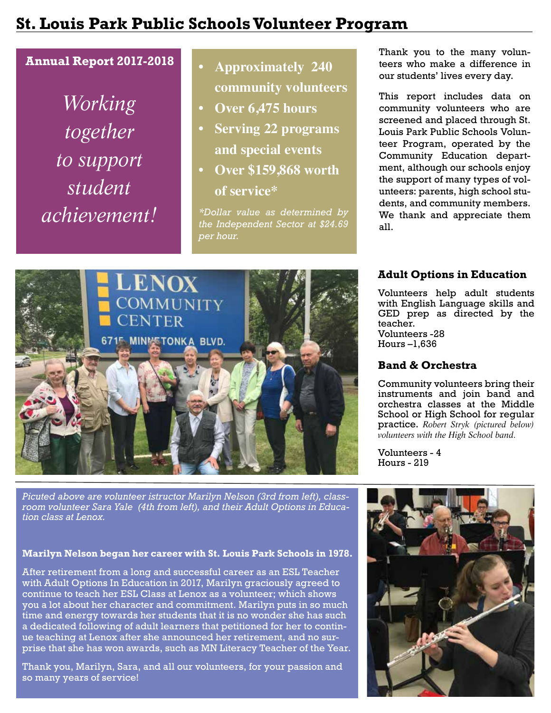## **St. Louis Park Public Schools Volunteer Program**

## **Annual Report 2017-2018**

*Working together to support student achievement!*

## **• Approximately 240 community volunteers**

- **• Over 6,475 hours**
- **• Serving 22 programs and special events**
- **• Over \$159,868 worth of service\***

*\*Dollar value as determined by the Independent Sector at \$24.69 per hour.*

Thank you to the many volunteers who make a difference in our students' lives every day.

This report includes data on community volunteers who are screened and placed through St. Louis Park Public Schools Volunteer Program, operated by the Community Education department, although our schools enjoy the support of many types of volunteers: parents, high school students, and community members. We thank and appreciate them all.

## **Adult Options in Education**

Volunteers help adult students with English Language skills and GED prep as directed by the teacher. Volunteers -28 Hours –1,636

## **Band & Orchestra**

Community volunteers bring their instruments and join band and orchestra classes at the Middle School or High School for regular practice. *Robert Stryk (pictured below) volunteers with the High School band.*

Volunteers - 4 Hours - 219



*Picuted above are volunteer istructor Marilyn Nelson (3rd from left), classroom volunteer Sara Yale (4th from left), and their Adult Options in Education class at Lenox.*

#### **Marilyn Nelson began her career with St. Louis Park Schools in 1978.**

After retirement from a long and successful career as an ESL Teacher with Adult Options In Education in 2017, Marilyn graciously agreed to continue to teach her ESL Class at Lenox as a volunteer; which shows you a lot about her character and commitment. Marilyn puts in so much time and energy towards her students that it is no wonder she has such a dedicated following of adult learners that petitioned for her to continue teaching at Lenox after she announced her retirement, and no surprise that she has won awards, such as MN Literacy Teacher of the Year.

Thank you, Marilyn, Sara, and all our volunteers, for your passion and so many years of service!

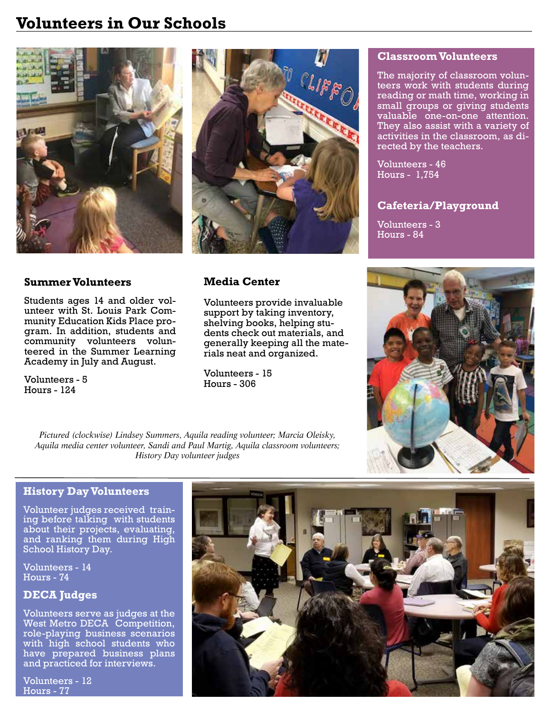## **Volunteers in Our Schools**



### **Summer Volunteers**

Students ages 14 and older volunteer with St. Louis Park Community Education Kids Place program. In addition, students and community volunteers volunteered in the Summer Learning Academy in July and August.

Volunteers - 5 Hours - 124



## **Media Center**

Volunteers provide invaluable support by taking inventory, shelving books, helping students check out materials, and generally keeping all the materials neat and organized.

Volunteers - 15 Hours - 306

#### **Classroom Volunteers**

The majority of classroom volunteers work with students during reading or math time, working in small groups or giving students valuable one-on-one attention. They also assist with a variety of activities in the classroom, as directed by the teachers.

Volunteers - 46 Hours - 1,754

## **Cafeteria/Playground**

Volunteers - 3 Hours - 84



*Pictured (clockwise) Lindsey Summers, Aquila reading volunteer; Marcia Oleisky, Aquila media center volunteer, Sandi and Paul Martig, Aquila classroom volunteers; History Day volunteer judges*

### **History Day Volunteers**

Volunteer judges received training before talking with students about their projects, evaluating, and ranking them during High School History Day.

Volunteers - 14 Hours - 74

## **DECA Judges**

Volunteers serve as judges at the West Metro DECA Competition, role-playing business scenarios with high school students who have prepared business plans and practiced for interviews.

Volunteers - 12 Hours - 77

![](_page_1_Picture_22.jpeg)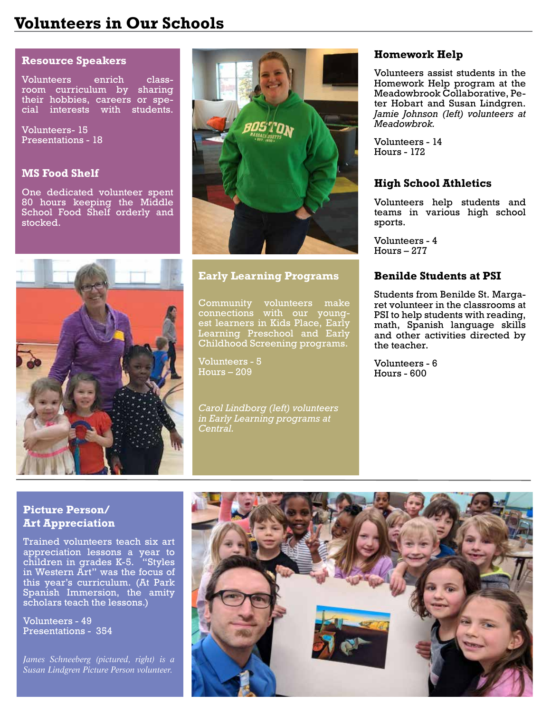## **Volunteers in Our Schools**

#### **Resource Speakers**

Volunteers enrich classroom curriculum by sharing their hobbies, careers or special interests with students.

Volunteers- 15 Presentations - 18

#### **MS Food Shelf**

One dedicated volunteer spent 80 hours keeping the Middle School Food Shelf orderly and stocked.

![](_page_2_Picture_6.jpeg)

### **Early Learning Programs**

Community volunteers make connections with our youngest learners in Kids Place, Early Learning Preschool and Early Childhood Screening programs.

Volunteers - 5 Hours – 209

*Carol Lindborg (left) volunteers in Early Learning programs at Central.*

#### **Homework Help**

Volunteers assist students in the Homework Help program at the Meadowbrook Collaborative, Peter Hobart and Susan Lindgren. *Jamie Johnson (left) volunteers at Meadowbrok.*

Volunteers - 14 Hours - 172

#### **High School Athletics**

Volunteers help students and teams in various high school sports.

Volunteers - 4 Hours – 277

#### **Benilde Students at PSI**

Students from Benilde St. Margaret volunteer in the classrooms at PSI to help students with reading, math, Spanish language skills and other activities directed by the teacher.

Volunteers - 6 Hours - 600

## **Picture Person/ Art Appreciation**

Trained volunteers teach six art appreciation lessons a year to children in grades K-5. "Styles in Western Art" was the focus of this year's curriculum. (At Park Spanish Immersion, the amity scholars teach the lessons.)

Volunteers - 49 Presentations - 354

*James Schneeberg (pictured, right) is a Susan Lindgren Picture Person volunteer.*

![](_page_2_Picture_24.jpeg)

![](_page_2_Picture_25.jpeg)